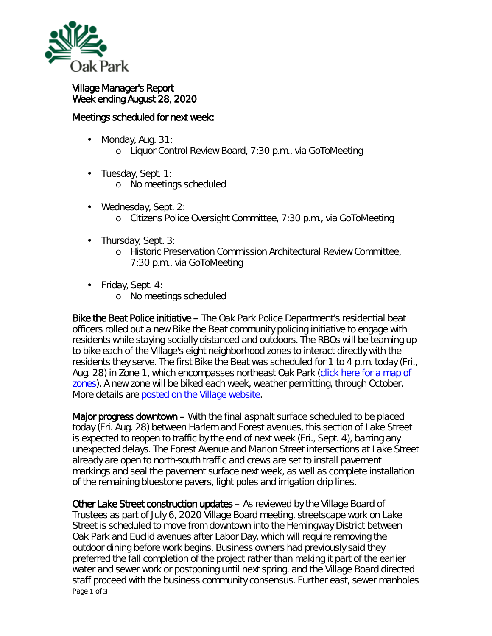

## Village Manager's Report Week ending August 28, 2020

## Meetings scheduled for next week:

- ä, Monday, Aug. 31:
	- o Liquor Control Review Board, 7:30 p.m., via GoToMeeting
- ä, Tuesday, Sept. 1: o No meetings scheduled
- Wednesday, Sept. 2: ¥, o Citizens Police Oversight Committee, 7:30 p.m., via GoToMeeting
- Thursday, Sept. 3: ä,
	- o Historic Preservation Commission Architectural Review Committee, 7:30 p.m., via GoToMeeting
- Friday, Sept. 4:
	- o No meetings scheduled

Bike the Beat Police initiative – The Oak Park Police Department's residential beat officers rolled out a new *Bike the Beat* community policing initiative to engage with residents while staying socially distanced and outdoors. The RBOs will be teaming up to bike each of the Village's eight neighborhood zones to interact directly with the residents they serve. The first *Bike the Beat* was scheduled for 1 to 4 p.m. today (Fri., Aug. 28) in Zone 1, which encompasses northeast Oak Park [\(click here for](https://www.oak-park.us/village-services/police-department/get-know-your-rbo) a map of [zones\)](https://www.oak-park.us/village-services/police-department/get-know-your-rbo). A new zone will be biked each week, weather permitting, through October. More details are [posted on the Village website.](https://www.oak-park.us/news/police-department-launch-new-bike-beat-initiative)

Major progress downtown – With the final asphalt surface scheduled to be placed today (Fri. Aug. 28) between Harlem and Forest avenues, this section of Lake Street is expected to reopen to traffic by the end of next week (Fri., Sept. 4), barring any unexpected delays. The Forest Avenue and Marion Street intersections at Lake Street already are open to north-south traffic and crews are set to install pavement markings and seal the pavement surface next week, as well as complete installation of the remaining bluestone pavers, light poles and irrigation drip lines.

Page 1 of 3 Other Lake Street construction updates – As reviewed by the Village Board of Trustees as part of July 6, 2020 Village Board meeting, streetscape work on Lake Street is scheduled to move from downtown into the Hemingway District between Oak Park and Euclid avenues after Labor Day, which will require removing the outdoor dining before work begins. Business owners had previously said they preferred the fall completion of the project rather than making it part of the earlier water and sewer work or postponing until next spring. and the Village Board directed staff proceed with the business community consensus. Further east, sewer manholes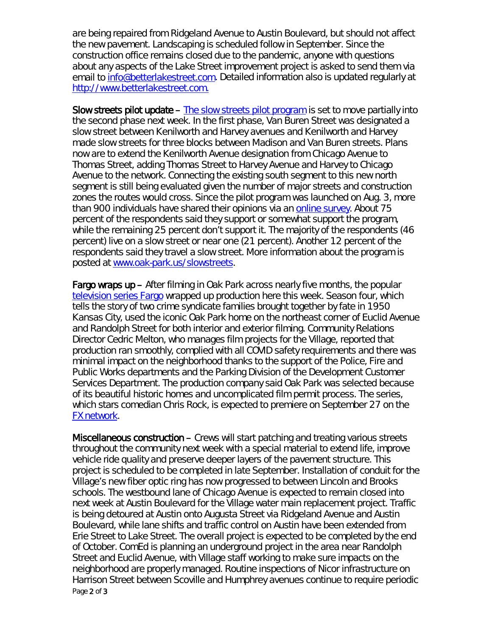are being repaired from Ridgeland Avenue to Austin Boulevard, but should not affect the new pavement. Landscaping is scheduled follow in September. Since the construction office remains closed due to the pandemic, anyone with questions about any aspects of the Lake Street improvement project is asked to send them via email to [info@betterlakestreet.com.](mailto:info@betterlakestreet.com) Detailed information also is updated regularly at [http://www.betterlakestreet.com.](http://www.betterlakestreet.com/)

Slow streets pilot update – [The slow streets pilot program](https://www.oak-park.us/village-services/public-works/slow-streets-pilot-program) is set to move partially into the second phase next week. In the first phase, Van Buren Street was designated a slow street between Kenilworth and Harvey avenues and Kenilworth and Harvey made slow streets for three blocks between Madison and Van Buren streets. Plans now are to extend the Kenilworth Avenue designation from Chicago Avenue to Thomas Street, adding Thomas Street to Harvey Avenue and Harvey to Chicago Avenue to the network. Connecting the existing south segment to this new north segment is still being evaluated given the number of major streets and construction zones the routes would cross. Since the pilot program was launched on Aug. 3, more than 900 individuals have shared their opinions via an [online survey.](https://www.surveymonkey.com/r/oakparkslowstreets) About 75 percent of the respondents said they support or somewhat support the program, while the remaining 25 percent don't support it. The majority of the respondents (46 percent) live on a slow street or near one (21 percent). Another 12 percent of the respondents said they travel a slow street. More information about the program is posted at [www.oak-park.us/slowstreets.](http://www.oak-park.us/slowstreets)

Fargo wraps up – After filming in Oak Park across nearly five months, the popular [television series Fargo](https://www.fxnetworks.com/shows/fargo) wrapped up production here this week. Season four, which tells the story of two crime syndicate families brought together by fate in 1950 Kansas City, used the iconic Oak Park home on the northeast corner of Euclid Avenue and Randolph Street for both interior and exterior filming. Community Relations Director Cedric Melton, who manages film projects for the Village, reported that production ran smoothly, complied with all COVID safety requirements and there was minimal impact on the neighborhood thanks to the support of the Police, Fire and Public Works departments and the Parking Division of the Development Customer Services Department. The production company said Oak Park was selected because of its beautiful historic homes and uncomplicated film permit process. The series, which stars comedian Chris Rock, is expected to premiere on September 27 on the [FX network.](https://www.fxnetworks.com/)

Page 2 of 3 Miscellaneous construction – Crews will start patching and treating various streets throughout the community next week with a special material to extend life, improve vehicle ride quality and preserve deeper layers of the pavement structure. This project is scheduled to be completed in late September. Installation of conduit for the Village's new fiber optic ring has now progressed to between Lincoln and Brooks schools. The westbound lane of Chicago Avenue is expected to remain closed into next week at Austin Boulevard for the Village water main replacement project. Traffic is being detoured at Austin onto Augusta Street via Ridgeland Avenue and Austin Boulevard, while lane shifts and traffic control on Austin have been extended from Erie Street to Lake Street. The overall project is expected to be completed by the end of October. ComEd is planning an underground project in the area near Randolph Street and Euclid Avenue, with Village staff working to make sure impacts on the neighborhood are properly managed. Routine inspections of Nicor infrastructure on Harrison Street between Scoville and Humphrey avenues continue to require periodic